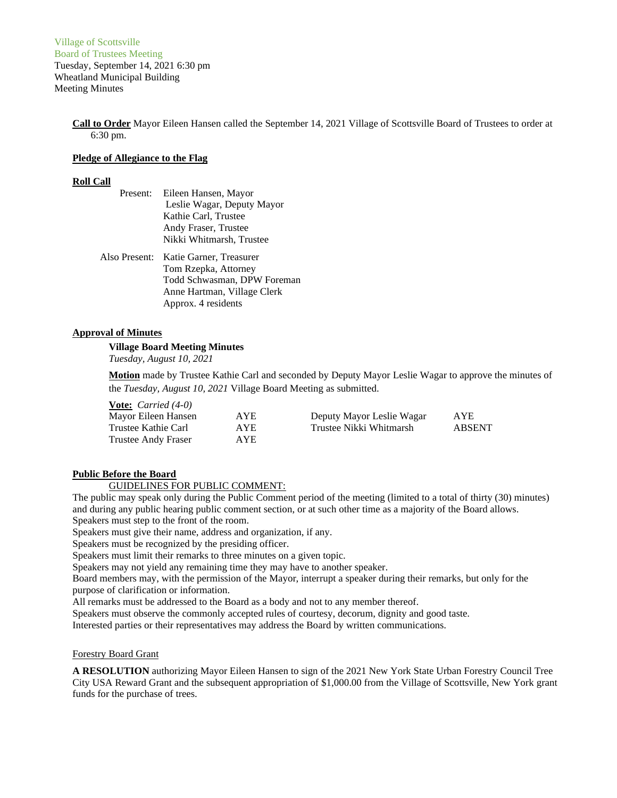**Call to Order** Mayor Eileen Hansen called the September 14, 2021 Village of Scottsville Board of Trustees to order at 6:30 pm.

### **Pledge of Allegiance to the Flag**

## **Roll Call**

| Present:      | Eileen Hansen, Mayor        |
|---------------|-----------------------------|
|               | Leslie Wagar, Deputy Mayor  |
|               | Kathie Carl, Trustee        |
|               | Andy Fraser, Trustee        |
|               | Nikki Whitmarsh, Trustee    |
| Also Present: | Katie Garner, Treasurer     |
|               | Tom Rzepka, Attorney        |
|               | Todd Schwasman, DPW Foreman |
|               | Anne Hartman, Village Clerk |

Approx. 4 residents

# **Approval of Minutes**

**Village Board Meeting Minutes** *Tuesday, August 10, 2021*

**Motion** made by Trustee Kathie Carl and seconded by Deputy Mayor Leslie Wagar to approve the minutes of the *Tuesday, August 10, 2021* Village Board Meeting as submitted.

| <b>Vote:</b> Carried (4-0) |            |                           |               |
|----------------------------|------------|---------------------------|---------------|
| Mayor Eileen Hansen        | <b>AYE</b> | Deputy Mayor Leslie Wagar | AYE.          |
| Trustee Kathie Carl        | AYE.       | Trustee Nikki Whitmarsh   | <b>ABSENT</b> |
| Trustee Andy Fraser        | AYE.       |                           |               |

# **Public Before the Board**

## GUIDELINES FOR PUBLIC COMMENT:

The public may speak only during the Public Comment period of the meeting (limited to a total of thirty (30) minutes) and during any public hearing public comment section, or at such other time as a majority of the Board allows. Speakers must step to the front of the room.

Speakers must give their name, address and organization, if any.

Speakers must be recognized by the presiding officer.

Speakers must limit their remarks to three minutes on a given topic.

Speakers may not yield any remaining time they may have to another speaker.

Board members may, with the permission of the Mayor, interrupt a speaker during their remarks, but only for the purpose of clarification or information.

All remarks must be addressed to the Board as a body and not to any member thereof.

Speakers must observe the commonly accepted rules of courtesy, decorum, dignity and good taste.

Interested parties or their representatives may address the Board by written communications.

### Forestry Board Grant

**A RESOLUTION** authorizing Mayor Eileen Hansen to sign of the 2021 New York State Urban Forestry Council Tree City USA Reward Grant and the subsequent appropriation of \$1,000.00 from the Village of Scottsville, New York grant funds for the purchase of trees.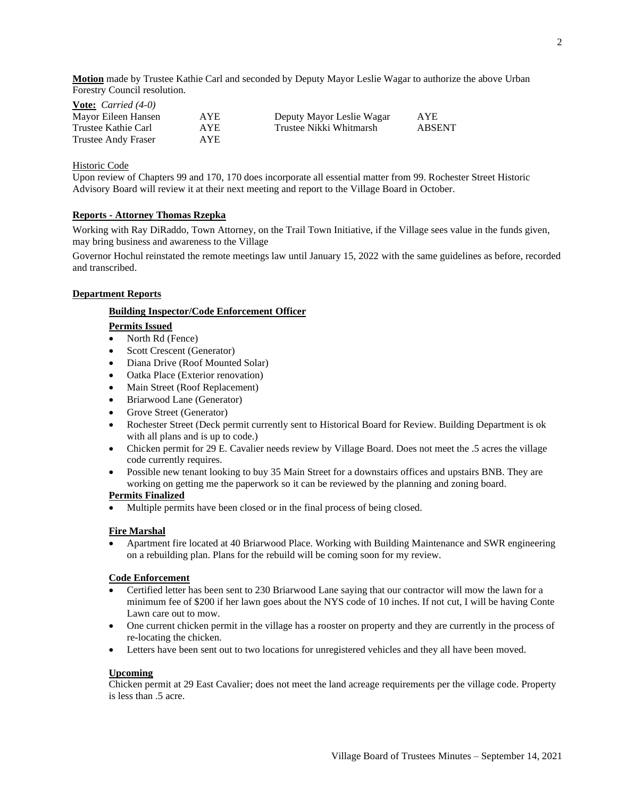**Motion** made by Trustee Kathie Carl and seconded by Deputy Mayor Leslie Wagar to authorize the above Urban Forestry Council resolution.

| <b>Vote:</b> <i>Carried</i> $(4-0)$ |      |                           |               |
|-------------------------------------|------|---------------------------|---------------|
| Mayor Eileen Hansen                 | AYE. | Deputy Mayor Leslie Wagar | <b>AYE</b>    |
| Trustee Kathie Carl                 | AYE. | Trustee Nikki Whitmarsh   | <b>ABSENT</b> |
| Trustee Andy Fraser                 | AYE. |                           |               |

## Historic Code

Upon review of Chapters 99 and 170, 170 does incorporate all essential matter from 99. Rochester Street Historic Advisory Board will review it at their next meeting and report to the Village Board in October.

## **Reports - Attorney Thomas Rzepka**

Working with Ray DiRaddo, Town Attorney, on the Trail Town Initiative, if the Village sees value in the funds given, may bring business and awareness to the Village

Governor Hochul reinstated the remote meetings law until January 15, 2022 with the same guidelines as before, recorded and transcribed.

## **Department Reports**

# **Building Inspector/Code Enforcement Officer**

### **Permits Issued**

- North Rd (Fence)
- Scott Crescent (Generator)
- Diana Drive (Roof Mounted Solar)
- Oatka Place (Exterior renovation)
- Main Street (Roof Replacement)
- Briarwood Lane (Generator)
- Grove Street (Generator)
- Rochester Street (Deck permit currently sent to Historical Board for Review. Building Department is ok with all plans and is up to code.)
- Chicken permit for 29 E. Cavalier needs review by Village Board. Does not meet the .5 acres the village code currently requires.
- Possible new tenant looking to buy 35 Main Street for a downstairs offices and upstairs BNB. They are working on getting me the paperwork so it can be reviewed by the planning and zoning board.

### **Permits Finalized**

• Multiple permits have been closed or in the final process of being closed.

### **Fire Marshal**

• Apartment fire located at 40 Briarwood Place. Working with Building Maintenance and SWR engineering on a rebuilding plan. Plans for the rebuild will be coming soon for my review.

### **Code Enforcement**

- Certified letter has been sent to 230 Briarwood Lane saying that our contractor will mow the lawn for a minimum fee of \$200 if her lawn goes about the NYS code of 10 inches. If not cut, I will be having Conte Lawn care out to mow.
- One current chicken permit in the village has a rooster on property and they are currently in the process of re-locating the chicken.
- Letters have been sent out to two locations for unregistered vehicles and they all have been moved.

### **Upcoming**

Chicken permit at 29 East Cavalier; does not meet the land acreage requirements per the village code. Property is less than .5 acre.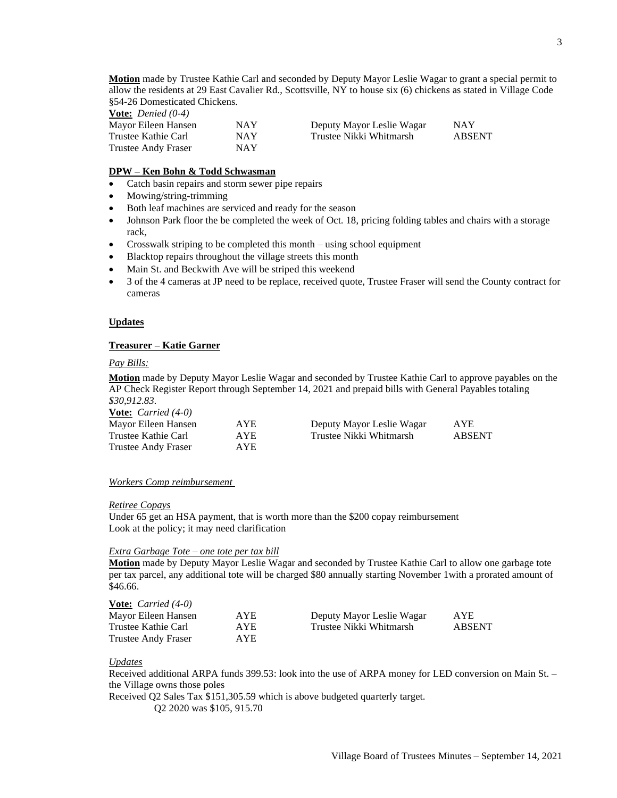**Motion** made by Trustee Kathie Carl and seconded by Deputy Mayor Leslie Wagar to grant a special permit to allow the residents at 29 East Cavalier Rd., Scottsville, NY to house six (6) chickens as stated in Village Code §54-26 Domesticated Chickens.

**Vote:** *Denied (0-4)*

| Mayor Eileen Hansen        | <b>NAY</b> | Deputy Mayor Leslie Wagar | NAY    |
|----------------------------|------------|---------------------------|--------|
| Trustee Kathie Carl        | <b>NAY</b> | Trustee Nikki Whitmarsh   | ABSENT |
| <b>Trustee Andy Fraser</b> | NAY        |                           |        |

## **DPW – Ken Bohn & Todd Schwasman**

- Catch basin repairs and storm sewer pipe repairs
- Mowing/string-trimming
- Both leaf machines are serviced and ready for the season
- Johnson Park floor the be completed the week of Oct. 18, pricing folding tables and chairs with a storage rack,
- Crosswalk striping to be completed this month using school equipment
- Blacktop repairs throughout the village streets this month
- Main St. and Beckwith Ave will be striped this weekend
- 3 of the 4 cameras at JP need to be replace, received quote, Trustee Fraser will send the County contract for cameras

### **Updates**

### **Treasurer – Katie Garner**

#### *Pay Bills:*

**Motion** made by Deputy Mayor Leslie Wagar and seconded by Trustee Kathie Carl to approve payables on the AP Check Register Report through September 14, 2021 and prepaid bills with General Payables totaling *\$30,912.83.*

**Vote:** *Carried (4-0)* Mayor Eileen Hansen AYE Trustee Kathie Carl AYE

| Deputy Mayor Leslie Wagar | AYE.          |
|---------------------------|---------------|
| Trustee Nikki Whitmarsh   | <b>ABSENT</b> |

Deputy Mayor Leslie Wagar AYE Trustee Nikki Whitmarsh ABSENT

## *Workers Comp reimbursement*

Trustee Andy Fraser AYE

#### *Retiree Copays*

Under 65 get an HSA payment, that is worth more than the \$200 copay reimbursement Look at the policy; it may need clarification

## *Extra Garbage Tote – one tote per tax bill*

**Motion** made by Deputy Mayor Leslie Wagar and seconded by Trustee Kathie Carl to allow one garbage tote per tax parcel, any additional tote will be charged \$80 annually starting November 1with a prorated amount of \$46.66.

**Vote:** *Carried (4-0)*

| Mayor Eileen Hansen        | <b>AYE</b> |
|----------------------------|------------|
| Trustee Kathie Carl        | <b>AYE</b> |
| <b>Trustee Andy Fraser</b> | <b>AYE</b> |

#### *Updates*

Received additional ARPA funds 399.53: look into the use of ARPA money for LED conversion on Main St. – the Village owns those poles

Received Q2 Sales Tax \$151,305.59 which is above budgeted quarterly target. Q2 2020 was \$105, 915.70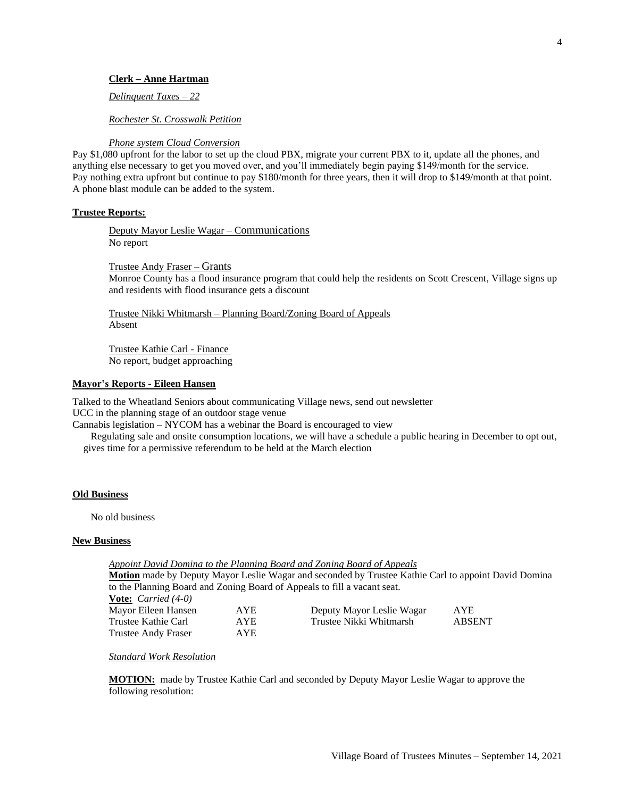## **Clerk – Anne Hartman**

*Delinquent Taxes – 22*

*Rochester St. Crosswalk Petition*

#### *Phone system Cloud Conversion*

Pay \$1,080 upfront for the labor to set up the cloud PBX, migrate your current PBX to it, update all the phones, and anything else necessary to get you moved over, and you'll immediately begin paying \$149/month for the service. Pay nothing extra upfront but continue to pay \$180/month for three years, then it will drop to \$149/month at that point. A phone blast module can be added to the system.

#### **Trustee Reports:**

Deputy Mayor Leslie Wagar – Communications No report

Trustee Andy Fraser – Grants

Monroe County has a flood insurance program that could help the residents on Scott Crescent, Village signs up and residents with flood insurance gets a discount

Trustee Nikki Whitmarsh – Planning Board/Zoning Board of Appeals Absent

Trustee Kathie Carl - Finance No report, budget approaching

#### **Mayor's Reports - Eileen Hansen**

Talked to the Wheatland Seniors about communicating Village news, send out newsletter UCC in the planning stage of an outdoor stage venue

Cannabis legislation – NYCOM has a webinar the Board is encouraged to view

Regulating sale and onsite consumption locations, we will have a schedule a public hearing in December to opt out, gives time for a permissive referendum to be held at the March election

#### **Old Business**

No old business

#### **New Business**

*Appoint David Domina to the Planning Board and Zoning Board of Appeals* **Motion** made by Deputy Mayor Leslie Wagar and seconded by Trustee Kathie Carl to appoint David Domina to the Planning Board and Zoning Board of Appeals to fill a vacant seat. **Vote:** *Carried (4-0)* AYE Deputy Mayor Leslie Wagar AYE Trustee Kathie Carl AYE Trustee Nikki Whitmarsh ABSENT

*Standard Work Resolution*

Trustee Andy Fraser AYE

**MOTION:** made by Trustee Kathie Carl and seconded by Deputy Mayor Leslie Wagar to approve the following resolution: